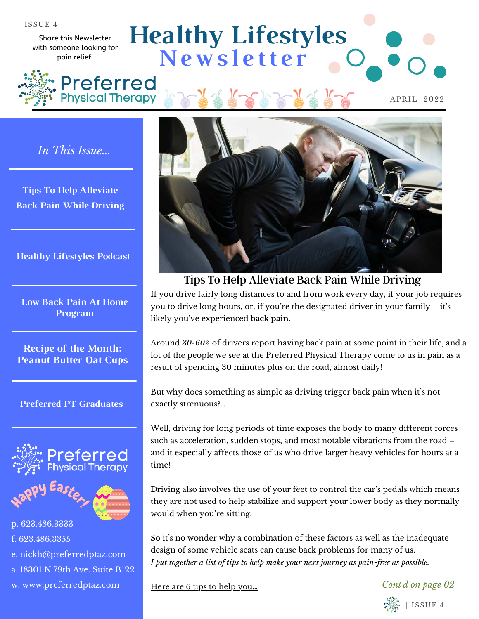Share this Newsletter with someone looking for pain relief!

**Physical Therapy** 

**Healthy Lifestyles N e w s l e t t e r** Preferred

APRIL 2022

*In This Issue...*

**Tips To Help Alleviate Back Pain While Driving**

**Healthy Lifestyles Podcast**

**Low Back Pain At Home Program**

**Recipe of the Month: Peanut Butter Oat Cups**

#### **Preferred PT Graduates**



e. nickh@preferredptaz.com

a. 18301 N 79th Ave. Suite B122

w. www.preferredptaz.com



Tips To Help Alleviate Back Pain While Driving

If you drive fairly long distances to and from work every day, if your job requires you to drive long hours, or, if you're the designated driver in your family – it's likely you've experienced **back pain.**

Around *30-60%* of drivers report having back pain at some point in their life, and a lot of the people we see at the Preferred Physical Therapy come to us in pain as a result of spending 30 minutes plus on the road, almost daily!

But why does something as simple as driving trigger back pain when it's not exactly strenuous?…

Well, driving for long periods of time exposes the body to many different forces such as acceleration, sudden stops, and most notable vibrations from the road – and it especially affects those of us who drive larger heavy vehicles for hours at a time!

Driving also involves the use of your feet to control the car's pedals which means they are not used to help stabilize and support your lower body as they normally would when you're sitting.

So it's no wonder why a combination of these factors as well as the inadequate design of some vehicle seats can cause back problems for many of us. *I put together a list of tips to help make your next journey as pain-free as possible.*

Here are 6 tips to help you...

*Cont'd on page 02*

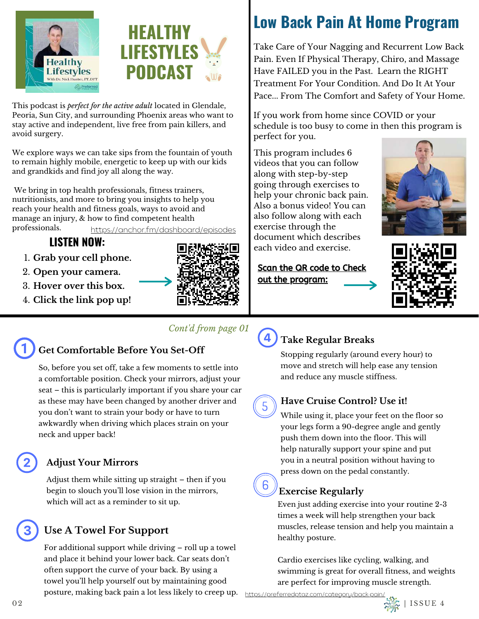



This podcast is *perfect for the active adult* located in Glendale, Peoria, Sun City, and surrounding Phoenix areas who want to stay active and independent, live free from pain killers, and avoid surgery.

We explore ways we can take sips from the fountain of youth to remain highly mobile, energetic to keep up with our kids and grandkids and find joy all along the way.

 We bring in top health professionals, fitness trainers, nutritionists, and more to bring you insights to help you reach your health and fitness goals, ways to avoid and manage an injury, & how to find competent health professionals.

<https://anchor.fm/dashboard/episodes>

## **LISTEN NOW:**

- **Grab your cell phone.** 1.
- **Open your camera.**  2.
- **Hover over this box.** 3.
- **Click the link pop up!** 4.



### *Cont'd from page 01*

# **Get Comfortable Before You Set-Off**

So, before you set off, take a few moments to settle into a comfortable position. Check your mirrors, adjust your seat – this is particularly important if you share your car as these may have been changed by another driver and you don't want to strain your body or have to turn awkwardly when driving which places strain on your neck and upper back!

## **Adjust Your Mirrors**

Adjust them while sitting up straight – then if you begin to slouch you'll lose vision in the mirrors, which will act as a reminder to sit up.

## **Use A Towel For Support**

For additional support while driving – roll up a towel and place it behind your lower back. Car seats don't often support the curve of your back. By using a towel you'll help yourself out by maintaining good posture, making back pain a lot less likely to creep up.

# **Low Back Pain At Home Program**

Take Care of Your Nagging and Recurrent Low Back Pain. Even If Physical Therapy, Chiro, and Massage Have FAILED you in the Past. Learn the RIGHT Treatment For Your Condition. And Do It At Your Pace... From The Comfort and Safety of Your Home.

If you work from home since COVID or your schedule is too busy to come in then this program is perfect for you.

This program includes 6 videos that you can follow along with step-by-step going through exercises to help your chronic back pain. Also a bonus video! You can also follow along with each exercise through the document which describes each video and exercise.





Scan the QR code to Check out the program:

# **Take Regular Breaks**

Stopping regularly (around every hour) to move and stretch will help ease any tension and reduce any muscle stiffness.

**Have Cruise Control? Use it!**

While using it, place your feet on the floor so your legs form a 90-degree angle and gently push them down into the floor. This will help naturally support your spine and put you in a neutral position without having to press down on the pedal constantly.

## **Exercise Regularly**

Even just adding exercise into your routine 2-3 times a week will help strengthen your back muscles, release tension and help you maintain a healthy posture.

Cardio exercises like cycling, walking, and swimming is great for overall fitness, and weights are perfect for improving muscle strength.

<https://preferredptaz.com/category/back-pain/>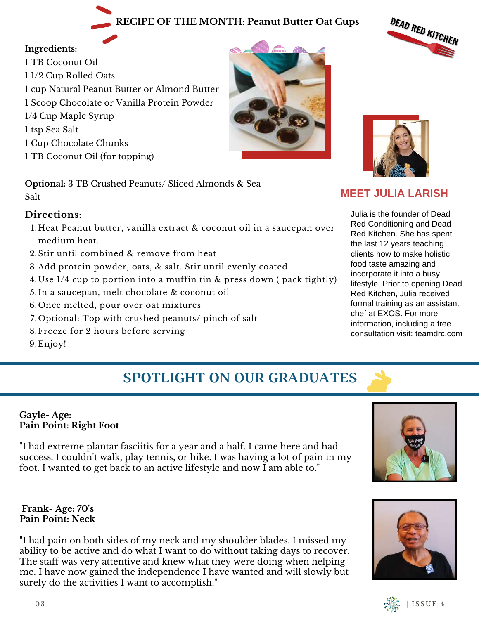## **RECIPE OF THE MONTH: Peanut Butter Oat Cups**

### **Ingredients:**

1 TB Coconut Oil 1 1/2 Cup Rolled Oats 1 cup Natural Peanut Butter or Almond Butter 1 Scoop Chocolate or Vanilla Protein Powder 1/4 Cup Maple Syrup 1 tsp Sea Salt 1 Cup Chocolate Chunks 1 TB Coconut Oil (for topping)

**Optional:** 3 TB Crushed Peanuts/ Sliced Almonds & Sea Salt

### **Directions:**

- Heat Peanut butter, vanilla extract & coconut oil in a saucepan over 1. medium heat.
- 2. Stir until combined & remove from heat
- Add protein powder, oats, & salt. Stir until evenly coated. 3.
- 4. Use 1/4 cup to portion into a muffin tin & press down ( pack tightly)
- 5.In a saucepan, melt chocolate & coconut oil
- 6.Once melted, pour over oat mixtures
- 7. Optional: Top with crushed peanuts/ pinch of salt
- 8.Freeze for 2 hours before serving

9. Enjoy!

## **SPOTLIGHT ON OUR GRADUATES**

#### **Gayle- Age: Pain Point: Right Foot**

"I had extreme plantar fasciitis for a year and a half. I came here and had success. I couldn't walk, play tennis, or hike. I was having a lot of pain in my foot. I wanted to get back to an active lifestyle and now I am able to."

#### **Frank- Age: 70's Pain Point: Neck**

"I had pain on both sides of my neck and my shoulder blades. I missed my ability to be active and do what I want to do without taking days to recover. The staff was very attentive and knew what they were doing when helping me. I have now gained the independence I have wanted and will slowly but surely do the activities I want to accomplish."



## **MEET JULIA LARISH**

Julia is the founder of Dead Red Conditioning and Dead Red Kitchen. She has spent the last 12 years teaching clients how to make holistic food taste amazing and incorporate it into a busy lifestyle. Prior to opening Dead Red Kitchen, Julia received formal training as an assistant chef at EXOS. For more information, including a free consultation visit: teamdrc.com